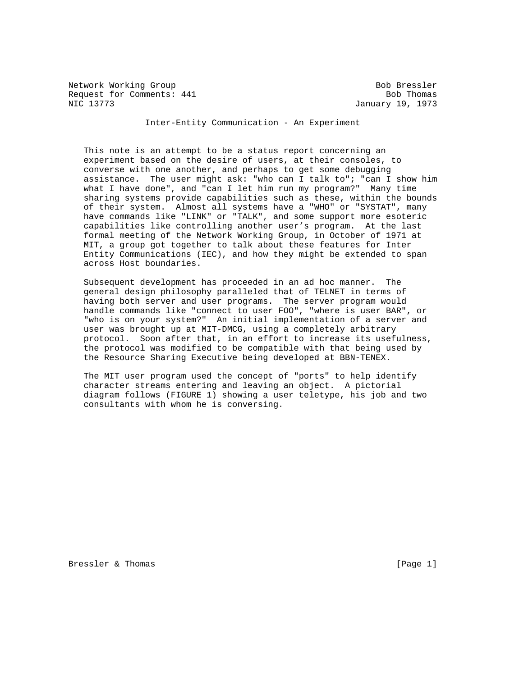Network Working Group Bob Bressler Bob Bressler Request for Comments: 441 Bob Thomas NIC 13773 January 19, 1973

Inter-Entity Communication - An Experiment

 This note is an attempt to be a status report concerning an experiment based on the desire of users, at their consoles, to converse with one another, and perhaps to get some debugging assistance. The user might ask: "who can I talk to"; "can I show him what I have done", and "can I let him run my program?" Many time sharing systems provide capabilities such as these, within the bounds of their system. Almost all systems have a "WHO" or "SYSTAT", many have commands like "LINK" or "TALK", and some support more esoteric capabilities like controlling another user's program. At the last formal meeting of the Network Working Group, in October of 1971 at MIT, a group got together to talk about these features for Inter Entity Communications (IEC), and how they might be extended to span across Host boundaries.

 Subsequent development has proceeded in an ad hoc manner. The general design philosophy paralleled that of TELNET in terms of having both server and user programs. The server program would handle commands like "connect to user FOO", "where is user BAR", or "who is on your system?" An initial implementation of a server and user was brought up at MIT-DMCG, using a completely arbitrary protocol. Soon after that, in an effort to increase its usefulness, the protocol was modified to be compatible with that being used by the Resource Sharing Executive being developed at BBN-TENEX.

 The MIT user program used the concept of "ports" to help identify character streams entering and leaving an object. A pictorial diagram follows (FIGURE 1) showing a user teletype, his job and two consultants with whom he is conversing.

Bressler & Thomas [Page 1]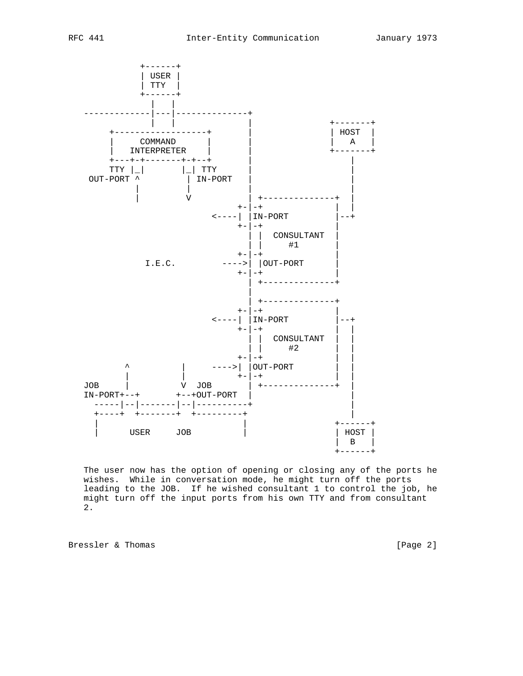

 The user now has the option of opening or closing any of the ports he wishes. While in conversation mode, he might turn off the ports leading to the JOB. If he wished consultant 1 to control the job, he might turn off the input ports from his own TTY and from consultant 2.

Bressler & Thomas [Page 2]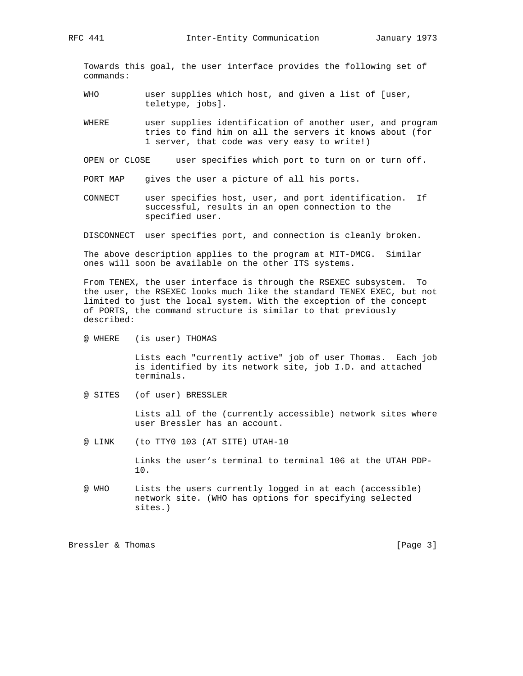Towards this goal, the user interface provides the following set of commands:

- WHO user supplies which host, and given a list of [user, teletype, jobs].
- WHERE user supplies identification of another user, and program tries to find him on all the servers it knows about (for 1 server, that code was very easy to write!)
- OPEN or CLOSE user specifies which port to turn on or turn off.
- PORT MAP gives the user a picture of all his ports.
- CONNECT user specifies host, user, and port identification. If successful, results in an open connection to the specified user.
- DISCONNECT user specifies port, and connection is cleanly broken.

 The above description applies to the program at MIT-DMCG. Similar ones will soon be available on the other ITS systems.

 From TENEX, the user interface is through the RSEXEC subsystem. To the user, the RSEXEC looks much like the standard TENEX EXEC, but not limited to just the local system. With the exception of the concept of PORTS, the command structure is similar to that previously described:

@ WHERE (is user) THOMAS

 Lists each "currently active" job of user Thomas. Each job is identified by its network site, job I.D. and attached terminals.

@ SITES (of user) BRESSLER

 Lists all of the (currently accessible) network sites where user Bressler has an account.

@ LINK (to TTY0 103 (AT SITE) UTAH-10

 Links the user's terminal to terminal 106 at the UTAH PDP- 10.

 @ WHO Lists the users currently logged in at each (accessible) network site. (WHO has options for specifying selected sites.)

Bressler & Thomas [Page 3]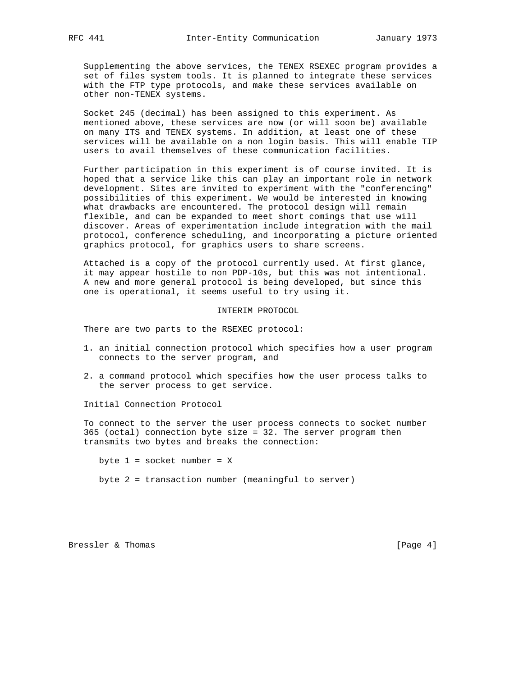Supplementing the above services, the TENEX RSEXEC program provides a set of files system tools. It is planned to integrate these services with the FTP type protocols, and make these services available on other non-TENEX systems.

 Socket 245 (decimal) has been assigned to this experiment. As mentioned above, these services are now (or will soon be) available on many ITS and TENEX systems. In addition, at least one of these services will be available on a non login basis. This will enable TIP users to avail themselves of these communication facilities.

 Further participation in this experiment is of course invited. It is hoped that a service like this can play an important role in network development. Sites are invited to experiment with the "conferencing" possibilities of this experiment. We would be interested in knowing what drawbacks are encountered. The protocol design will remain flexible, and can be expanded to meet short comings that use will discover. Areas of experimentation include integration with the mail protocol, conference scheduling, and incorporating a picture oriented graphics protocol, for graphics users to share screens.

 Attached is a copy of the protocol currently used. At first glance, it may appear hostile to non PDP-10s, but this was not intentional. A new and more general protocol is being developed, but since this one is operational, it seems useful to try using it.

INTERIM PROTOCOL

There are two parts to the RSEXEC protocol:

- 1. an initial connection protocol which specifies how a user program connects to the server program, and
- 2. a command protocol which specifies how the user process talks to the server process to get service.

Initial Connection Protocol

 To connect to the server the user process connects to socket number 365 (octal) connection byte size = 32. The server program then transmits two bytes and breaks the connection:

byte  $1 =$  socket number =  $X$ byte 2 = transaction number (meaningful to server)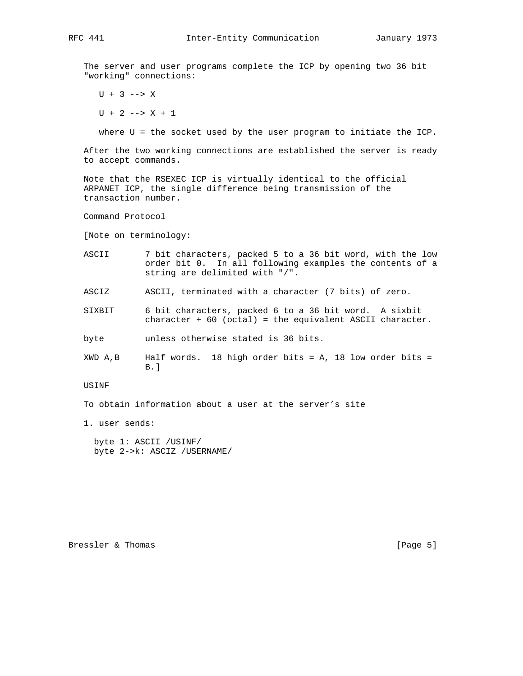The server and user programs complete the ICP by opening two 36 bit "working" connections:

 $U + 3$  --> X

 $U + 2$  -->  $X + 1$ 

where U = the socket used by the user program to initiate the ICP.

 After the two working connections are established the server is ready to accept commands.

 Note that the RSEXEC ICP is virtually identical to the official ARPANET ICP, the single difference being transmission of the transaction number.

Command Protocol

[Note on terminology:

- ASCII 7 bit characters, packed 5 to a 36 bit word, with the low order bit 0. In all following examples the contents of a string are delimited with "/".
- ASCIZ ASCII, terminated with a character (7 bits) of zero.
- SIXBIT 6 bit characters, packed 6 to a 36 bit word. A sixbit character + 60 (octal) = the equivalent ASCII character.
- byte unless otherwise stated is 36 bits.
- $XWD A,B$  Half words. 18 high order bits = A, 18 low order bits = B.]

USINF

To obtain information about a user at the server's site

1. user sends:

 byte 1: ASCII /USINF/ byte 2->k: ASCIZ /USERNAME/

Bressler & Thomas [Page 5]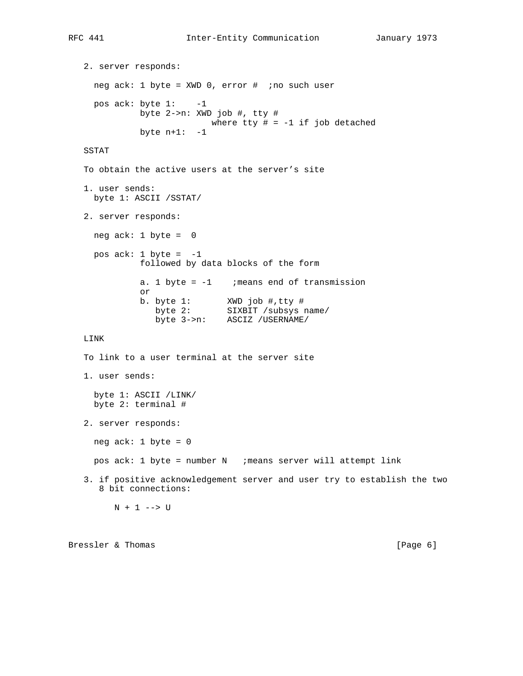2. server responds: neg ack: 1 byte = XWD 0, error # ;no such user pos ack: byte 1: -1 byte 2->n: XWD job #, tty # where tty  $# = -1$  if job detached byte  $n+1$ :  $-1$  SSTAT To obtain the active users at the server's site 1. user sends: byte 1: ASCII /SSTAT/ 2. server responds: neg ack: 1 byte = 0 pos ack:  $1$  byte =  $-1$  followed by data blocks of the form a. 1 byte =  $-1$  ; means end of transmission or b. byte 1: XWD job #,tty # byte 2: SIXBIT /subsys name/ byte 3->n: ASCIZ /USERNAME/ LINK To link to a user terminal at the server site 1. user sends: byte 1: ASCII /LINK/ byte 2: terminal # 2. server responds: neg ack: 1 byte = 0 pos ack: 1 byte = number N ;means server will attempt link 3. if positive acknowledgement server and user try to establish the two 8 bit connections:  $N + 1$  --> U

Bressler & Thomas [Page 6]